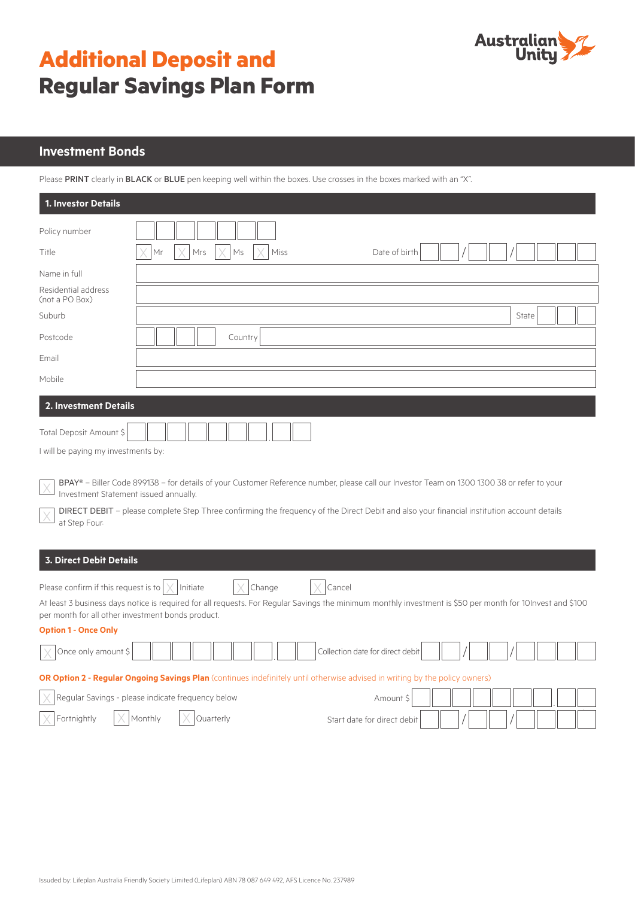

# **Additional Deposit and Regular Savings Plan Form**

## **Investment Bonds**

Please PRINT clearly in BLACK or BLUE pen keeping well within the boxes. Use crosses in the boxes marked with an "X".

| <b>1. Investor Details</b>                                                                                                              |                                                   |                                                                                                                                                                                                                                                                                          |  |  |  |  |  |  |
|-----------------------------------------------------------------------------------------------------------------------------------------|---------------------------------------------------|------------------------------------------------------------------------------------------------------------------------------------------------------------------------------------------------------------------------------------------------------------------------------------------|--|--|--|--|--|--|
| Policy number                                                                                                                           |                                                   |                                                                                                                                                                                                                                                                                          |  |  |  |  |  |  |
| Title                                                                                                                                   | Mrs<br>Mr<br>Ms<br>Miss                           | Date of birth                                                                                                                                                                                                                                                                            |  |  |  |  |  |  |
| Name in full                                                                                                                            |                                                   |                                                                                                                                                                                                                                                                                          |  |  |  |  |  |  |
| Residential address<br>(not a PO Box)                                                                                                   |                                                   |                                                                                                                                                                                                                                                                                          |  |  |  |  |  |  |
| Suburb                                                                                                                                  |                                                   | State                                                                                                                                                                                                                                                                                    |  |  |  |  |  |  |
| Postcode                                                                                                                                | Country                                           |                                                                                                                                                                                                                                                                                          |  |  |  |  |  |  |
| Email                                                                                                                                   |                                                   |                                                                                                                                                                                                                                                                                          |  |  |  |  |  |  |
| Mobile                                                                                                                                  |                                                   |                                                                                                                                                                                                                                                                                          |  |  |  |  |  |  |
| <b>2. Investment Details</b>                                                                                                            |                                                   |                                                                                                                                                                                                                                                                                          |  |  |  |  |  |  |
| Total Deposit Amount \$                                                                                                                 |                                                   |                                                                                                                                                                                                                                                                                          |  |  |  |  |  |  |
| I will be paying my investments by:                                                                                                     |                                                   |                                                                                                                                                                                                                                                                                          |  |  |  |  |  |  |
| Investment Statement issued annually.<br>at Step Four-                                                                                  |                                                   | BPAY® – Biller Code 899138 – for details of your Customer Reference number, please call our Investor Team on 1300 1300 38 or refer to your<br>DIRECT DEBIT - please complete Step Three confirming the frequency of the Direct Debit and also your financial institution account details |  |  |  |  |  |  |
| <b>3. Direct Debit Details</b>                                                                                                          |                                                   |                                                                                                                                                                                                                                                                                          |  |  |  |  |  |  |
| Please confirm if this request is to $\vert \times$<br>per month for all other investment bonds product.<br><b>Option 1 - Once Only</b> | Initiate<br>Change                                | Cancel<br>At least 3 business days notice is required for all requests. For Regular Savings the minimum monthly investment is \$50 per month for 10Invest and \$100                                                                                                                      |  |  |  |  |  |  |
| Once only amount \$                                                                                                                     |                                                   | Collection date for direct debit                                                                                                                                                                                                                                                         |  |  |  |  |  |  |
|                                                                                                                                         |                                                   | OR Option 2 - Regular Ongoing Savings Plan (continues indefinitely until otherwise advised in writing by the policy owners)                                                                                                                                                              |  |  |  |  |  |  |
|                                                                                                                                         | Regular Savings - please indicate frequency below | Amount \$                                                                                                                                                                                                                                                                                |  |  |  |  |  |  |
| Fortnightly                                                                                                                             | Monthly<br>Quarterly                              | Start date for direct debit                                                                                                                                                                                                                                                              |  |  |  |  |  |  |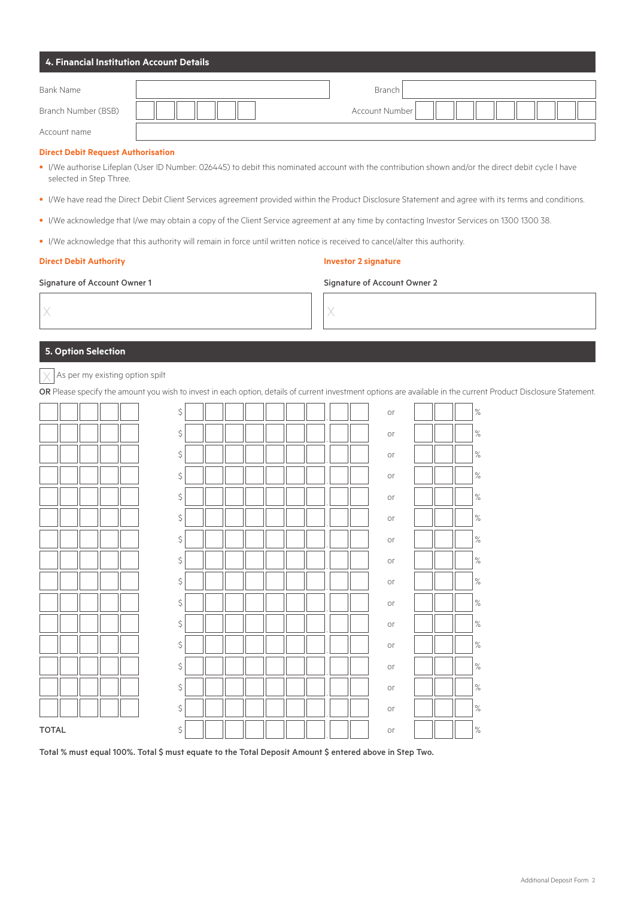| 4. Financial Institution Account Details                                                                                                                                                                                    |    |  |  |  |  |   |                              |  |                             |  |  |  |      |  |  |  |  |  |
|-----------------------------------------------------------------------------------------------------------------------------------------------------------------------------------------------------------------------------|----|--|--|--|--|---|------------------------------|--|-----------------------------|--|--|--|------|--|--|--|--|--|
| <b>Bank Name</b>                                                                                                                                                                                                            |    |  |  |  |  |   |                              |  | Branch                      |  |  |  |      |  |  |  |  |  |
| Branch Number (BSB)                                                                                                                                                                                                         |    |  |  |  |  |   |                              |  | Account Number              |  |  |  |      |  |  |  |  |  |
| Account name                                                                                                                                                                                                                |    |  |  |  |  |   |                              |  |                             |  |  |  |      |  |  |  |  |  |
| <b>Direct Debit Request Authorisation</b><br>. I/We authorise Lifeplan (User ID Number: 026445) to debit this nominated account with the contribution shown and/or the direct debit cycle I have<br>selected in Step Three. |    |  |  |  |  |   |                              |  |                             |  |  |  |      |  |  |  |  |  |
| . I/We have read the Direct Debit Client Services agreement provided within the Product Disclosure Statement and agree with its terms and conditions.                                                                       |    |  |  |  |  |   |                              |  |                             |  |  |  |      |  |  |  |  |  |
| . I/We acknowledge that I/we may obtain a copy of the Client Service agreement at any time by contacting Investor Services on 1300 1300 38.                                                                                 |    |  |  |  |  |   |                              |  |                             |  |  |  |      |  |  |  |  |  |
| . I/We acknowledge that this authority will remain in force until written notice is received to cancel/alter this authority.                                                                                                |    |  |  |  |  |   |                              |  |                             |  |  |  |      |  |  |  |  |  |
| <b>Direct Debit Authority</b>                                                                                                                                                                                               |    |  |  |  |  |   |                              |  | <b>Investor 2 signature</b> |  |  |  |      |  |  |  |  |  |
| <b>Signature of Account Owner 1</b>                                                                                                                                                                                         |    |  |  |  |  |   | Signature of Account Owner 2 |  |                             |  |  |  |      |  |  |  |  |  |
| X                                                                                                                                                                                                                           |    |  |  |  |  | X |                              |  |                             |  |  |  |      |  |  |  |  |  |
| <b>5. Option Selection</b>                                                                                                                                                                                                  |    |  |  |  |  |   |                              |  |                             |  |  |  |      |  |  |  |  |  |
| As per my existing option spilt<br>OR Please specify the amount you wish to invest in each option, details of current investment options are available in the current Product Disclosure Statement.                         |    |  |  |  |  |   |                              |  |                             |  |  |  |      |  |  |  |  |  |
|                                                                                                                                                                                                                             | \$ |  |  |  |  |   |                              |  | or                          |  |  |  | $\%$ |  |  |  |  |  |
|                                                                                                                                                                                                                             | \$ |  |  |  |  |   |                              |  | or                          |  |  |  | ℅    |  |  |  |  |  |
|                                                                                                                                                                                                                             | \$ |  |  |  |  |   |                              |  | or                          |  |  |  | $\%$ |  |  |  |  |  |
|                                                                                                                                                                                                                             | \$ |  |  |  |  |   |                              |  | or                          |  |  |  | ℅    |  |  |  |  |  |
|                                                                                                                                                                                                                             | \$ |  |  |  |  |   |                              |  | or                          |  |  |  | ℅    |  |  |  |  |  |
|                                                                                                                                                                                                                             | Ŝ  |  |  |  |  |   |                              |  | or                          |  |  |  | %    |  |  |  |  |  |
|                                                                                                                                                                                                                             | \$ |  |  |  |  |   |                              |  | or                          |  |  |  | ℅    |  |  |  |  |  |
|                                                                                                                                                                                                                             | \$ |  |  |  |  |   |                              |  | or                          |  |  |  | $\%$ |  |  |  |  |  |
|                                                                                                                                                                                                                             | \$ |  |  |  |  |   |                              |  | or                          |  |  |  | $\%$ |  |  |  |  |  |
|                                                                                                                                                                                                                             | \$ |  |  |  |  |   |                              |  | or                          |  |  |  | $\%$ |  |  |  |  |  |
|                                                                                                                                                                                                                             | \$ |  |  |  |  |   |                              |  | or                          |  |  |  | $\%$ |  |  |  |  |  |
|                                                                                                                                                                                                                             | \$ |  |  |  |  |   |                              |  | or                          |  |  |  | $\%$ |  |  |  |  |  |
|                                                                                                                                                                                                                             | \$ |  |  |  |  |   |                              |  | or                          |  |  |  | $\%$ |  |  |  |  |  |
|                                                                                                                                                                                                                             | \$ |  |  |  |  |   |                              |  | or                          |  |  |  | $\%$ |  |  |  |  |  |
|                                                                                                                                                                                                                             | \$ |  |  |  |  |   |                              |  | or                          |  |  |  | $\%$ |  |  |  |  |  |
| <b>TOTAL</b>                                                                                                                                                                                                                | \$ |  |  |  |  |   |                              |  | or                          |  |  |  | $\%$ |  |  |  |  |  |

Total % must equal 100%. Total \$ must equate to the Total Deposit Amount \$ entered above in Step Two.